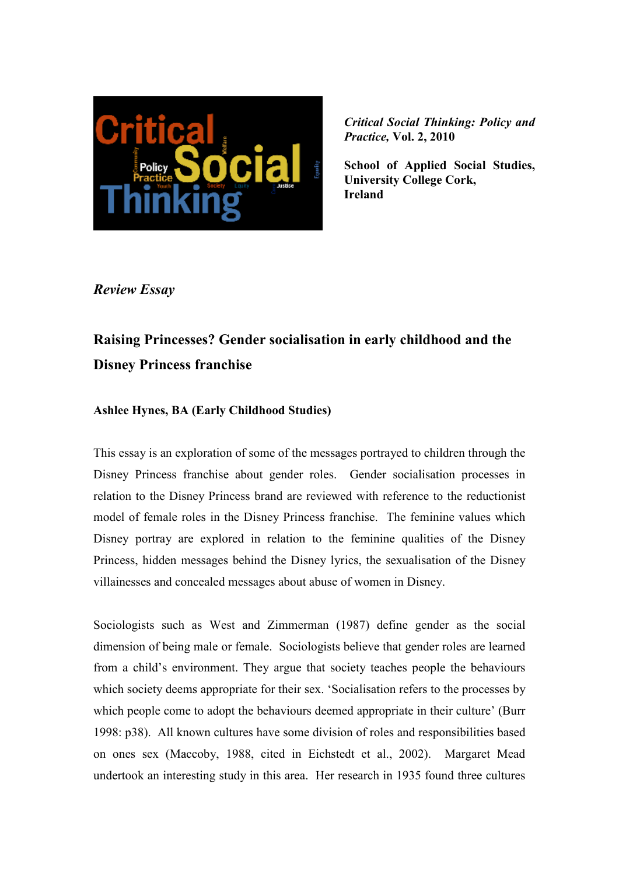

**School of Applied Social Studies, University College Cork, Ireland** 

*Review Essay* 

# **Raising Princesses? Gender socialisation in early childhood and the Disney Princess franchise**

# **Ashlee Hynes, BA (Early Childhood Studies)**

This essay is an exploration of some of the messages portrayed to children through the Disney Princess franchise about gender roles. Gender socialisation processes in relation to the Disney Princess brand are reviewed with reference to the reductionist model of female roles in the Disney Princess franchise. The feminine values which Disney portray are explored in relation to the feminine qualities of the Disney Princess, hidden messages behind the Disney lyrics, the sexualisation of the Disney villainesses and concealed messages about abuse of women in Disney.

Sociologists such as West and Zimmerman (1987) define gender as the social dimension of being male or female. Sociologists believe that gender roles are learned from a child's environment. They argue that society teaches people the behaviours which society deems appropriate for their sex. 'Socialisation refers to the processes by which people come to adopt the behaviours deemed appropriate in their culture' (Burr 1998: p38). All known cultures have some division of roles and responsibilities based on ones sex (Maccoby, 1988, cited in Eichstedt et al., 2002). Margaret Mead undertook an interesting study in this area. Her research in 1935 found three cultures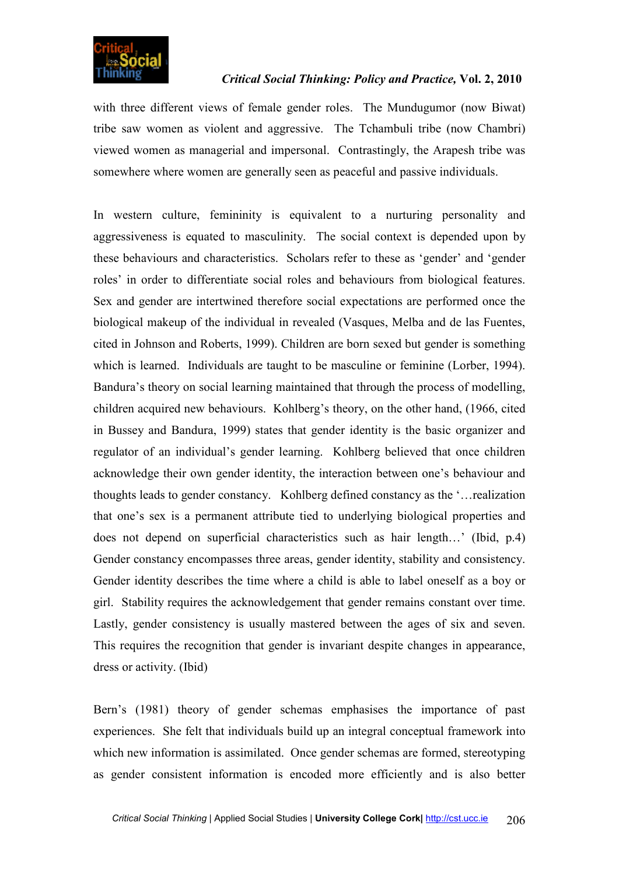

with three different views of female gender roles. The Mundugumor (now Biwat) tribe saw women as violent and aggressive. The Tchambuli tribe (now Chambri) viewed women as managerial and impersonal. Contrastingly, the Arapesh tribe was somewhere where women are generally seen as peaceful and passive individuals.

In western culture, femininity is equivalent to a nurturing personality and aggressiveness is equated to masculinity. The social context is depended upon by these behaviours and characteristics. Scholars refer to these as 'gender' and 'gender roles' in order to differentiate social roles and behaviours from biological features. Sex and gender are intertwined therefore social expectations are performed once the biological makeup of the individual in revealed (Vasques, Melba and de las Fuentes, cited in Johnson and Roberts, 1999). Children are born sexed but gender is something which is learned. Individuals are taught to be masculine or feminine (Lorber, 1994). Bandura's theory on social learning maintained that through the process of modelling, children acquired new behaviours. Kohlberg's theory, on the other hand, (1966, cited in Bussey and Bandura, 1999) states that gender identity is the basic organizer and regulator of an individual's gender learning. Kohlberg believed that once children acknowledge their own gender identity, the interaction between one's behaviour and thoughts leads to gender constancy. Kohlberg defined constancy as the '…realization that one's sex is a permanent attribute tied to underlying biological properties and does not depend on superficial characteristics such as hair length…' (Ibid, p.4) Gender constancy encompasses three areas, gender identity, stability and consistency. Gender identity describes the time where a child is able to label oneself as a boy or girl. Stability requires the acknowledgement that gender remains constant over time. Lastly, gender consistency is usually mastered between the ages of six and seven. This requires the recognition that gender is invariant despite changes in appearance, dress or activity. (Ibid)

Bern's (1981) theory of gender schemas emphasises the importance of past experiences. She felt that individuals build up an integral conceptual framework into which new information is assimilated. Once gender schemas are formed, stereotyping as gender consistent information is encoded more efficiently and is also better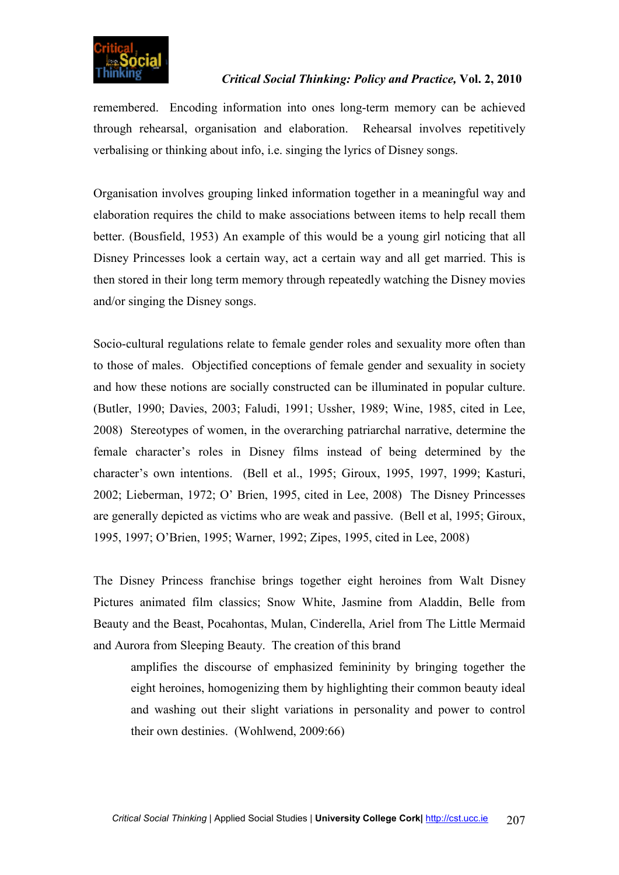

remembered. Encoding information into ones long-term memory can be achieved through rehearsal, organisation and elaboration. Rehearsal involves repetitively verbalising or thinking about info, i.e. singing the lyrics of Disney songs.

Organisation involves grouping linked information together in a meaningful way and elaboration requires the child to make associations between items to help recall them better. (Bousfield, 1953) An example of this would be a young girl noticing that all Disney Princesses look a certain way, act a certain way and all get married. This is then stored in their long term memory through repeatedly watching the Disney movies and/or singing the Disney songs.

Socio-cultural regulations relate to female gender roles and sexuality more often than to those of males. Objectified conceptions of female gender and sexuality in society and how these notions are socially constructed can be illuminated in popular culture. (Butler, 1990; Davies, 2003; Faludi, 1991; Ussher, 1989; Wine, 1985, cited in Lee, 2008) Stereotypes of women, in the overarching patriarchal narrative, determine the female character's roles in Disney films instead of being determined by the character's own intentions. (Bell et al., 1995; Giroux, 1995, 1997, 1999; Kasturi, 2002; Lieberman, 1972; O' Brien, 1995, cited in Lee, 2008) The Disney Princesses are generally depicted as victims who are weak and passive. (Bell et al, 1995; Giroux, 1995, 1997; O'Brien, 1995; Warner, 1992; Zipes, 1995, cited in Lee, 2008)

The Disney Princess franchise brings together eight heroines from Walt Disney Pictures animated film classics; Snow White, Jasmine from Aladdin, Belle from Beauty and the Beast, Pocahontas, Mulan, Cinderella, Ariel from The Little Mermaid and Aurora from Sleeping Beauty. The creation of this brand

amplifies the discourse of emphasized femininity by bringing together the eight heroines, homogenizing them by highlighting their common beauty ideal and washing out their slight variations in personality and power to control their own destinies. (Wohlwend, 2009:66)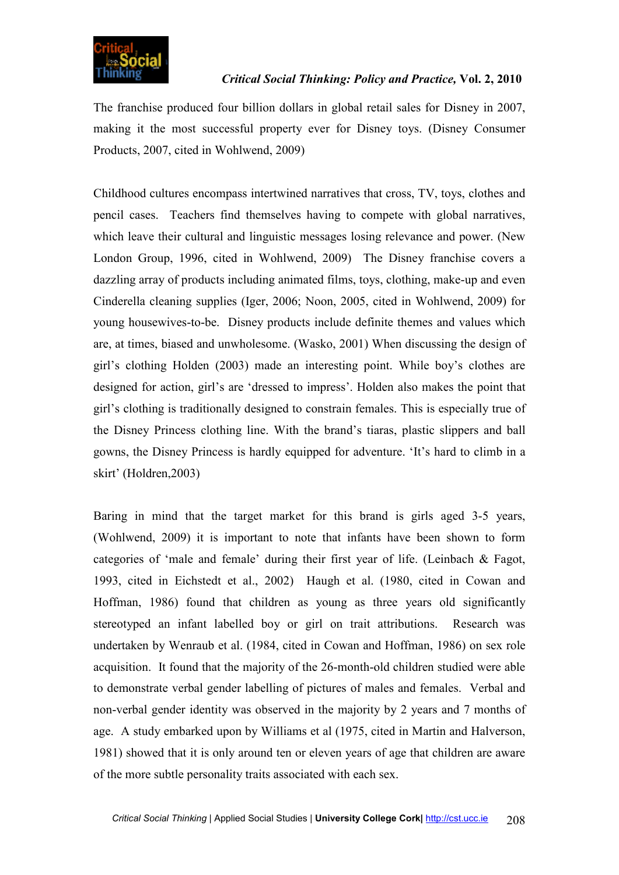

The franchise produced four billion dollars in global retail sales for Disney in 2007, making it the most successful property ever for Disney toys. (Disney Consumer Products, 2007, cited in Wohlwend, 2009)

Childhood cultures encompass intertwined narratives that cross, TV, toys, clothes and pencil cases. Teachers find themselves having to compete with global narratives, which leave their cultural and linguistic messages losing relevance and power. (New London Group, 1996, cited in Wohlwend, 2009) The Disney franchise covers a dazzling array of products including animated films, toys, clothing, make-up and even Cinderella cleaning supplies (Iger, 2006; Noon, 2005, cited in Wohlwend, 2009) for young housewives-to-be. Disney products include definite themes and values which are, at times, biased and unwholesome. (Wasko, 2001) When discussing the design of girl's clothing Holden (2003) made an interesting point. While boy's clothes are designed for action, girl's are 'dressed to impress'. Holden also makes the point that girl's clothing is traditionally designed to constrain females. This is especially true of the Disney Princess clothing line. With the brand's tiaras, plastic slippers and ball gowns, the Disney Princess is hardly equipped for adventure. 'It's hard to climb in a skirt' (Holdren,2003)

Baring in mind that the target market for this brand is girls aged 3-5 years, (Wohlwend, 2009) it is important to note that infants have been shown to form categories of 'male and female' during their first year of life. (Leinbach & Fagot, 1993, cited in Eichstedt et al., 2002) Haugh et al. (1980, cited in Cowan and Hoffman, 1986) found that children as young as three years old significantly stereotyped an infant labelled boy or girl on trait attributions. Research was undertaken by Wenraub et al. (1984, cited in Cowan and Hoffman, 1986) on sex role acquisition. It found that the majority of the 26-month-old children studied were able to demonstrate verbal gender labelling of pictures of males and females. Verbal and non-verbal gender identity was observed in the majority by 2 years and 7 months of age. A study embarked upon by Williams et al (1975, cited in Martin and Halverson, 1981) showed that it is only around ten or eleven years of age that children are aware of the more subtle personality traits associated with each sex.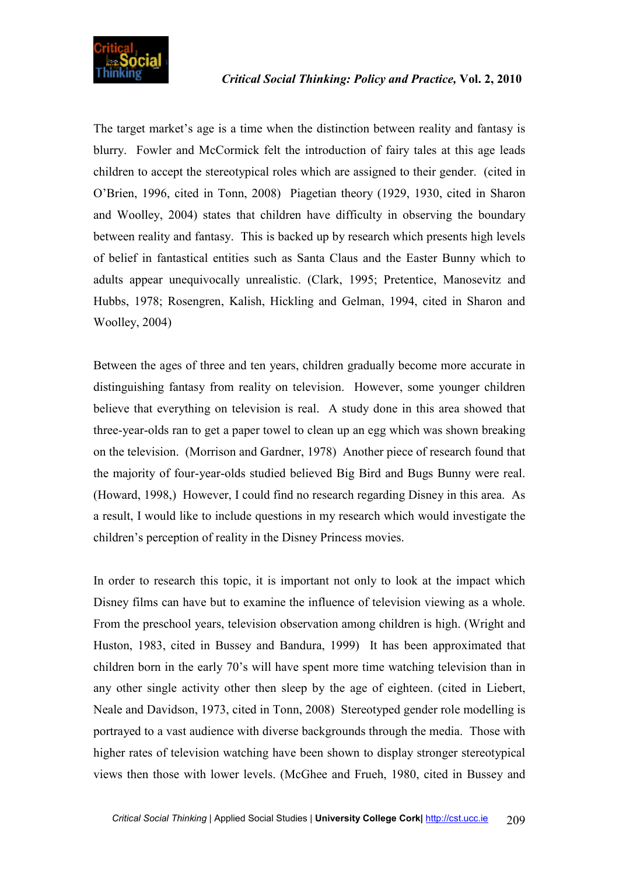

The target market's age is a time when the distinction between reality and fantasy is blurry. Fowler and McCormick felt the introduction of fairy tales at this age leads children to accept the stereotypical roles which are assigned to their gender. (cited in O'Brien, 1996, cited in Tonn, 2008) Piagetian theory (1929, 1930, cited in Sharon and Woolley, 2004) states that children have difficulty in observing the boundary between reality and fantasy. This is backed up by research which presents high levels of belief in fantastical entities such as Santa Claus and the Easter Bunny which to adults appear unequivocally unrealistic. (Clark, 1995; Pretentice, Manosevitz and Hubbs, 1978; Rosengren, Kalish, Hickling and Gelman, 1994, cited in Sharon and Woolley, 2004)

Between the ages of three and ten years, children gradually become more accurate in distinguishing fantasy from reality on television. However, some younger children believe that everything on television is real. A study done in this area showed that three-year-olds ran to get a paper towel to clean up an egg which was shown breaking on the television. (Morrison and Gardner, 1978) Another piece of research found that the majority of four-year-olds studied believed Big Bird and Bugs Bunny were real. (Howard, 1998,) However, I could find no research regarding Disney in this area. As a result, I would like to include questions in my research which would investigate the children's perception of reality in the Disney Princess movies.

In order to research this topic, it is important not only to look at the impact which Disney films can have but to examine the influence of television viewing as a whole. From the preschool years, television observation among children is high. (Wright and Huston, 1983, cited in Bussey and Bandura, 1999) It has been approximated that children born in the early 70's will have spent more time watching television than in any other single activity other then sleep by the age of eighteen. (cited in Liebert, Neale and Davidson, 1973, cited in Tonn, 2008) Stereotyped gender role modelling is portrayed to a vast audience with diverse backgrounds through the media. Those with higher rates of television watching have been shown to display stronger stereotypical views then those with lower levels. (McGhee and Frueh, 1980, cited in Bussey and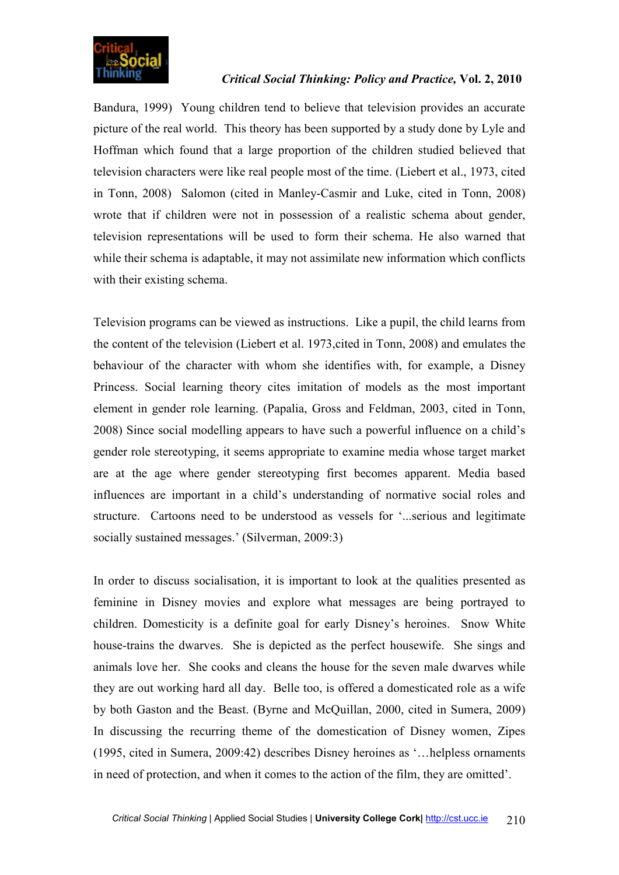![](_page_5_Picture_0.jpeg)

Bandura, 1999) Young children tend to believe that television provides an accurate picture of the real world. This theory has been supported by a study done by Lyle and Hoffman which found that a large proportion of the children studied believed that television characters were like real people most of the time. (Liebert et al., 1973, cited in Tonn, 2008) Salomon (cited in Manley-Casmir and Luke, cited in Tonn, 2008) wrote that if children were not in possession of a realistic schema about gender, television representations will be used to form their schema. He also warned that while their schema is adaptable, it may not assimilate new information which conflicts with their existing schema.

Television programs can be viewed as instructions. Like a pupil, the child learns from the content of the television (Liebert et al. 1973,cited in Tonn, 2008) and emulates the behaviour of the character with whom she identifies with, for example, a Disney Princess. Social learning theory cites imitation of models as the most important element in gender role learning. (Papalia, Gross and Feldman, 2003, cited in Tonn, 2008) Since social modelling appears to have such a powerful influence on a child's gender role stereotyping, it seems appropriate to examine media whose target market are at the age where gender stereotyping first becomes apparent. Media based influences are important in a child's understanding of normative social roles and structure. Cartoons need to be understood as vessels for '...serious and legitimate socially sustained messages.' (Silverman, 2009:3)

In order to discuss socialisation, it is important to look at the qualities presented as feminine in Disney movies and explore what messages are being portrayed to children. Domesticity is a definite goal for early Disney's heroines. Snow White house-trains the dwarves. She is depicted as the perfect housewife. She sings and animals love her. She cooks and cleans the house for the seven male dwarves while they are out working hard all day. Belle too, is offered a domesticated role as a wife by both Gaston and the Beast. (Byrne and McQuillan, 2000, cited in Sumera, 2009) In discussing the recurring theme of the domestication of Disney women, Zipes (1995, cited in Sumera, 2009:42) describes Disney heroines as '…helpless ornaments in need of protection, and when it comes to the action of the film, they are omitted'.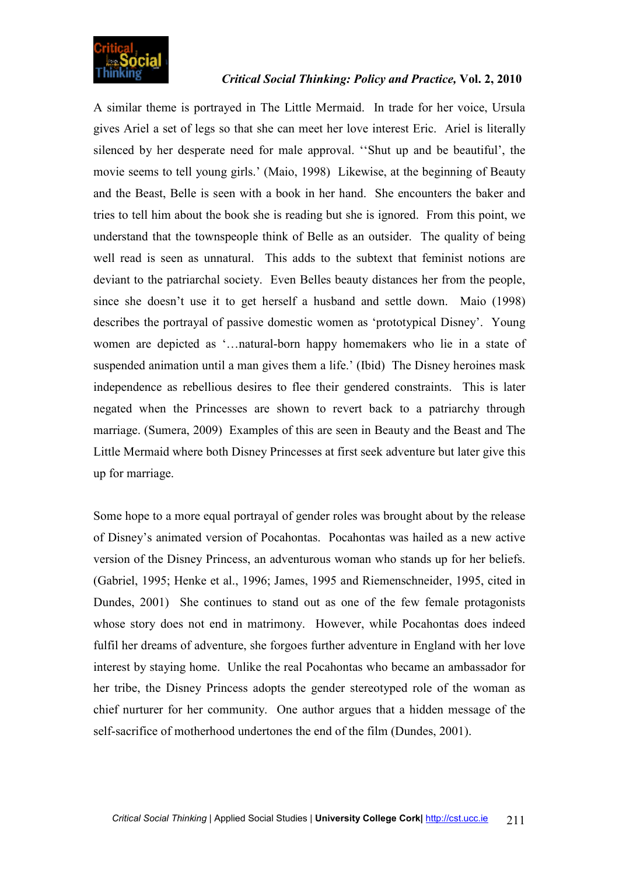![](_page_6_Picture_0.jpeg)

A similar theme is portrayed in The Little Mermaid. In trade for her voice, Ursula gives Ariel a set of legs so that she can meet her love interest Eric. Ariel is literally silenced by her desperate need for male approval. ''Shut up and be beautiful', the movie seems to tell young girls.' (Maio, 1998) Likewise, at the beginning of Beauty and the Beast, Belle is seen with a book in her hand. She encounters the baker and tries to tell him about the book she is reading but she is ignored. From this point, we understand that the townspeople think of Belle as an outsider. The quality of being well read is seen as unnatural. This adds to the subtext that feminist notions are deviant to the patriarchal society. Even Belles beauty distances her from the people, since she doesn't use it to get herself a husband and settle down. Maio (1998) describes the portrayal of passive domestic women as 'prototypical Disney'. Young women are depicted as '…natural-born happy homemakers who lie in a state of suspended animation until a man gives them a life.' (Ibid) The Disney heroines mask independence as rebellious desires to flee their gendered constraints. This is later negated when the Princesses are shown to revert back to a patriarchy through marriage. (Sumera, 2009) Examples of this are seen in Beauty and the Beast and The Little Mermaid where both Disney Princesses at first seek adventure but later give this up for marriage.

Some hope to a more equal portrayal of gender roles was brought about by the release of Disney's animated version of Pocahontas. Pocahontas was hailed as a new active version of the Disney Princess, an adventurous woman who stands up for her beliefs. (Gabriel, 1995; Henke et al., 1996; James, 1995 and Riemenschneider, 1995, cited in Dundes, 2001) She continues to stand out as one of the few female protagonists whose story does not end in matrimony. However, while Pocahontas does indeed fulfil her dreams of adventure, she forgoes further adventure in England with her love interest by staying home. Unlike the real Pocahontas who became an ambassador for her tribe, the Disney Princess adopts the gender stereotyped role of the woman as chief nurturer for her community. One author argues that a hidden message of the self-sacrifice of motherhood undertones the end of the film (Dundes, 2001).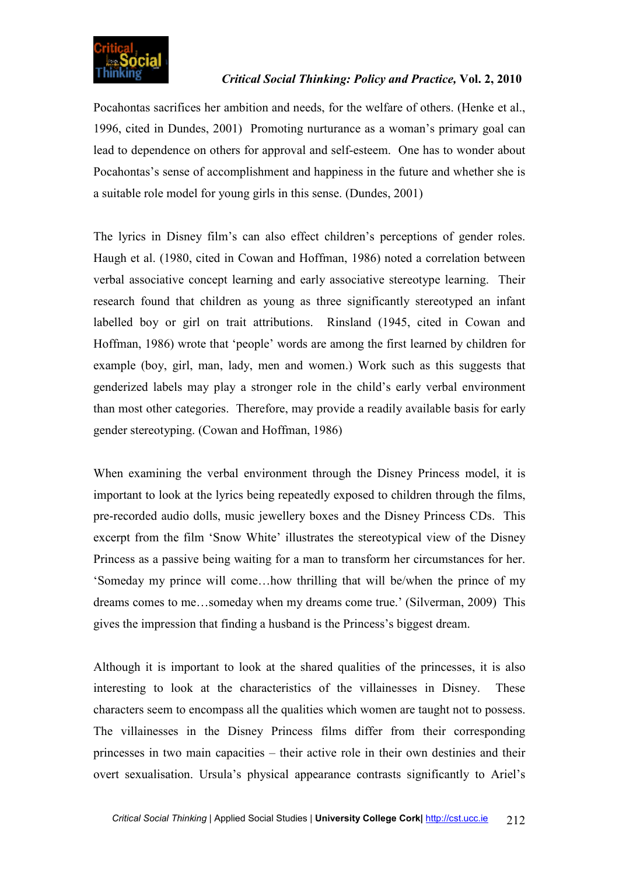![](_page_7_Picture_0.jpeg)

Pocahontas sacrifices her ambition and needs, for the welfare of others. (Henke et al., 1996, cited in Dundes, 2001) Promoting nurturance as a woman's primary goal can lead to dependence on others for approval and self-esteem. One has to wonder about Pocahontas's sense of accomplishment and happiness in the future and whether she is a suitable role model for young girls in this sense. (Dundes, 2001)

The lyrics in Disney film's can also effect children's perceptions of gender roles. Haugh et al. (1980, cited in Cowan and Hoffman, 1986) noted a correlation between verbal associative concept learning and early associative stereotype learning. Their research found that children as young as three significantly stereotyped an infant labelled boy or girl on trait attributions. Rinsland (1945, cited in Cowan and Hoffman, 1986) wrote that 'people' words are among the first learned by children for example (boy, girl, man, lady, men and women.) Work such as this suggests that genderized labels may play a stronger role in the child's early verbal environment than most other categories. Therefore, may provide a readily available basis for early gender stereotyping. (Cowan and Hoffman, 1986)

When examining the verbal environment through the Disney Princess model, it is important to look at the lyrics being repeatedly exposed to children through the films, pre-recorded audio dolls, music jewellery boxes and the Disney Princess CDs. This excerpt from the film 'Snow White' illustrates the stereotypical view of the Disney Princess as a passive being waiting for a man to transform her circumstances for her. 'Someday my prince will come…how thrilling that will be/when the prince of my dreams comes to me…someday when my dreams come true.' (Silverman, 2009) This gives the impression that finding a husband is the Princess's biggest dream.

Although it is important to look at the shared qualities of the princesses, it is also interesting to look at the characteristics of the villainesses in Disney. These characters seem to encompass all the qualities which women are taught not to possess. The villainesses in the Disney Princess films differ from their corresponding princesses in two main capacities – their active role in their own destinies and their overt sexualisation. Ursula's physical appearance contrasts significantly to Ariel's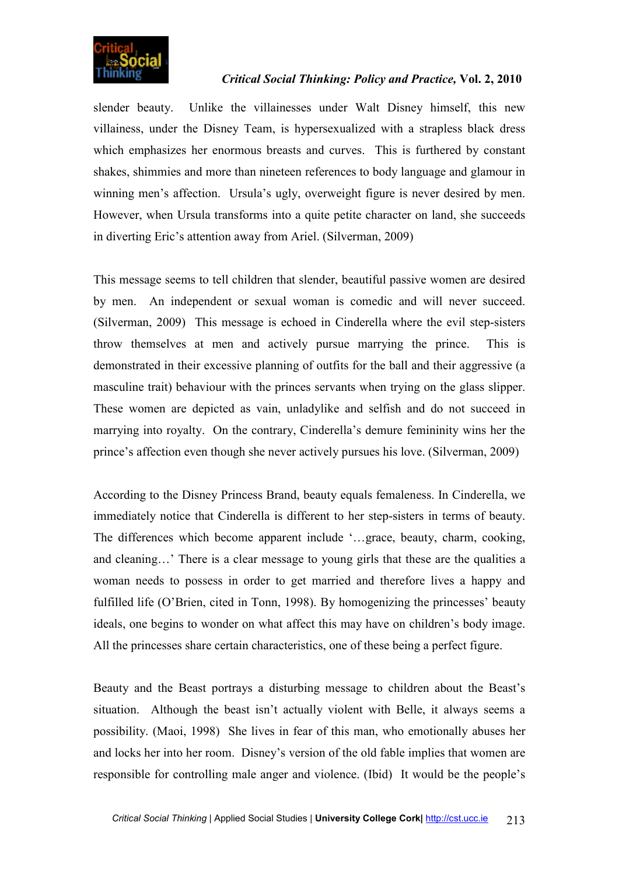![](_page_8_Picture_0.jpeg)

slender beauty. Unlike the villainesses under Walt Disney himself, this new villainess, under the Disney Team, is hypersexualized with a strapless black dress which emphasizes her enormous breasts and curves. This is furthered by constant shakes, shimmies and more than nineteen references to body language and glamour in winning men's affection. Ursula's ugly, overweight figure is never desired by men. However, when Ursula transforms into a quite petite character on land, she succeeds in diverting Eric's attention away from Ariel. (Silverman, 2009)

This message seems to tell children that slender, beautiful passive women are desired by men. An independent or sexual woman is comedic and will never succeed. (Silverman, 2009) This message is echoed in Cinderella where the evil step-sisters throw themselves at men and actively pursue marrying the prince. This is demonstrated in their excessive planning of outfits for the ball and their aggressive (a masculine trait) behaviour with the princes servants when trying on the glass slipper. These women are depicted as vain, unladylike and selfish and do not succeed in marrying into royalty. On the contrary, Cinderella's demure femininity wins her the prince's affection even though she never actively pursues his love. (Silverman, 2009)

According to the Disney Princess Brand, beauty equals femaleness. In Cinderella, we immediately notice that Cinderella is different to her step-sisters in terms of beauty. The differences which become apparent include '…grace, beauty, charm, cooking, and cleaning…' There is a clear message to young girls that these are the qualities a woman needs to possess in order to get married and therefore lives a happy and fulfilled life (O'Brien, cited in Tonn, 1998). By homogenizing the princesses' beauty ideals, one begins to wonder on what affect this may have on children's body image. All the princesses share certain characteristics, one of these being a perfect figure.

Beauty and the Beast portrays a disturbing message to children about the Beast's situation. Although the beast isn't actually violent with Belle, it always seems a possibility. (Maoi, 1998) She lives in fear of this man, who emotionally abuses her and locks her into her room. Disney's version of the old fable implies that women are responsible for controlling male anger and violence. (Ibid) It would be the people's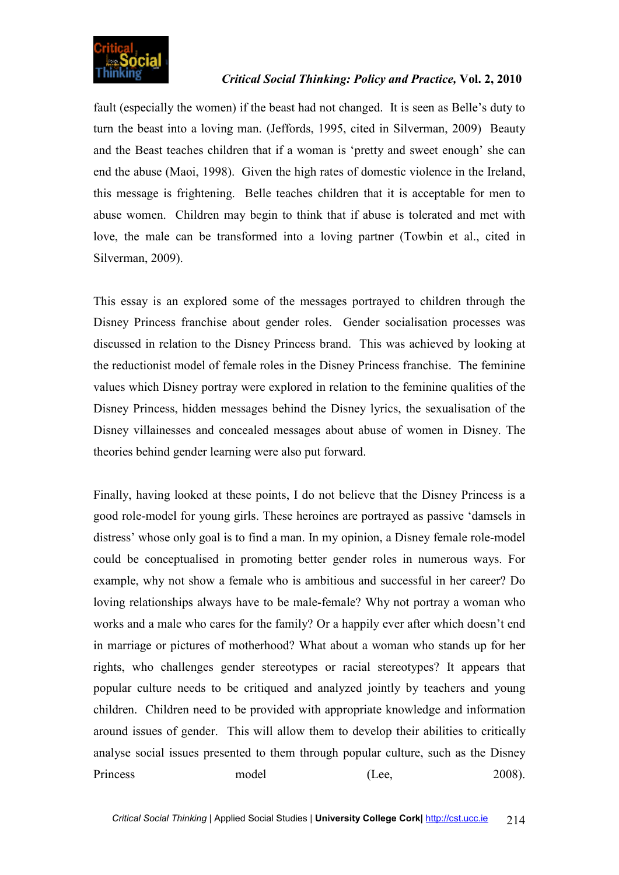![](_page_9_Picture_0.jpeg)

fault (especially the women) if the beast had not changed. It is seen as Belle's duty to turn the beast into a loving man. (Jeffords, 1995, cited in Silverman, 2009) Beauty and the Beast teaches children that if a woman is 'pretty and sweet enough' she can end the abuse (Maoi, 1998). Given the high rates of domestic violence in the Ireland, this message is frightening. Belle teaches children that it is acceptable for men to abuse women. Children may begin to think that if abuse is tolerated and met with love, the male can be transformed into a loving partner (Towbin et al., cited in Silverman, 2009).

This essay is an explored some of the messages portrayed to children through the Disney Princess franchise about gender roles. Gender socialisation processes was discussed in relation to the Disney Princess brand. This was achieved by looking at the reductionist model of female roles in the Disney Princess franchise. The feminine values which Disney portray were explored in relation to the feminine qualities of the Disney Princess, hidden messages behind the Disney lyrics, the sexualisation of the Disney villainesses and concealed messages about abuse of women in Disney. The theories behind gender learning were also put forward.

Finally, having looked at these points, I do not believe that the Disney Princess is a good role-model for young girls. These heroines are portrayed as passive 'damsels in distress' whose only goal is to find a man. In my opinion, a Disney female role-model could be conceptualised in promoting better gender roles in numerous ways. For example, why not show a female who is ambitious and successful in her career? Do loving relationships always have to be male-female? Why not portray a woman who works and a male who cares for the family? Or a happily ever after which doesn't end in marriage or pictures of motherhood? What about a woman who stands up for her rights, who challenges gender stereotypes or racial stereotypes? It appears that popular culture needs to be critiqued and analyzed jointly by teachers and young children. Children need to be provided with appropriate knowledge and information around issues of gender. This will allow them to develop their abilities to critically analyse social issues presented to them through popular culture, such as the Disney Princess model (Lee, 2008).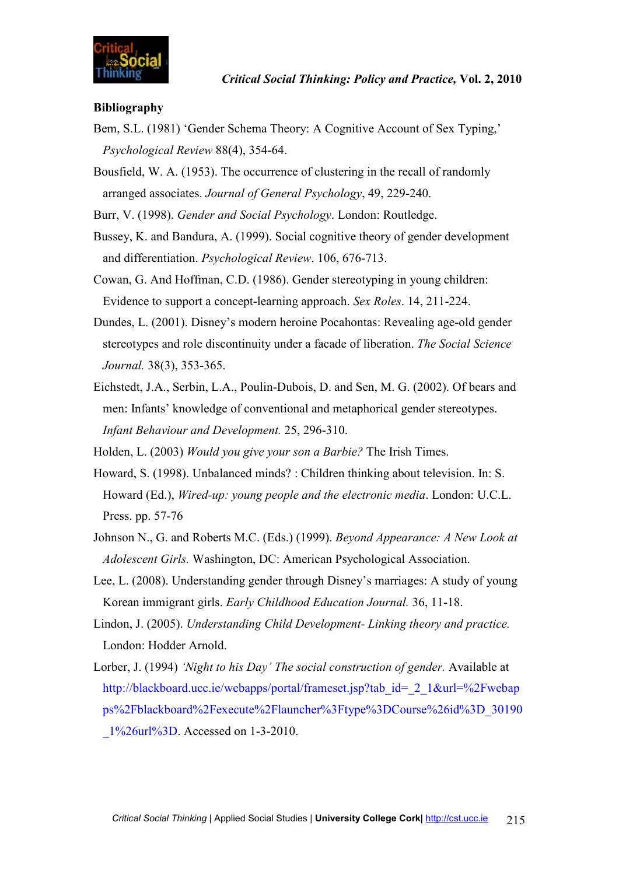![](_page_10_Picture_0.jpeg)

#### **Bibliography**

- Bem, S.L. (1981) 'Gender Schema Theory: A Cognitive Account of Sex Typing,' *Psychological Review* 88(4), 354-64.
- Bousfield, W. A. (1953). The occurrence of clustering in the recall of randomly arranged associates. *Journal of General Psychology*, 49, 229-240.
- Burr, V. (1998). *Gender and Social Psychology*. London: Routledge.
- Bussey, K. and Bandura, A. (1999). Social cognitive theory of gender development and differentiation. *Psychological Review*. 106, 676-713.
- Cowan, G. And Hoffman, C.D. (1986). Gender stereotyping in young children: Evidence to support a concept-learning approach. *Sex Roles*. 14, 211-224.
- Dundes, L. (2001). Disney's modern heroine Pocahontas: Revealing age-old gender stereotypes and role discontinuity under a facade of liberation. *The Social Science Journal.* 38(3), 353-365.
- Eichstedt, J.A., Serbin, L.A., Poulin-Dubois, D. and Sen, M. G. (2002). Of bears and men: Infants' knowledge of conventional and metaphorical gender stereotypes. *Infant Behaviour and Development.* 25, 296-310.
- Holden, L. (2003) *Would you give your son a Barbie?* The Irish Times.
- Howard, S. (1998). Unbalanced minds? : Children thinking about television. In: S. Howard (Ed.), *Wired-up: young people and the electronic media*. London: U.C.L. Press. pp. 57-76
- Johnson N., G. and Roberts M.C. (Eds.) (1999). *Beyond Appearance: A New Look at Adolescent Girls.* Washington, DC: American Psychological Association.
- Lee, L. (2008). Understanding gender through Disney's marriages: A study of young Korean immigrant girls. *Early Childhood Education Journal.* 36, 11-18.
- Lindon, J. (2005). *Understanding Child Development- Linking theory and practice.* London: Hodder Arnold.
- Lorber, J. (1994) *'Night to his Day' The social construction of gender.* Available at http://blackboard.ucc.ie/webapps/portal/frameset.jsp?tab\_id=\_2\_1&url=%2Fwebap ps%2Fblackboard%2Fexecute%2Flauncher%3Ftype%3DCourse%26id%3D\_30190 \_1%26url%3D. Accessed on 1-3-2010.